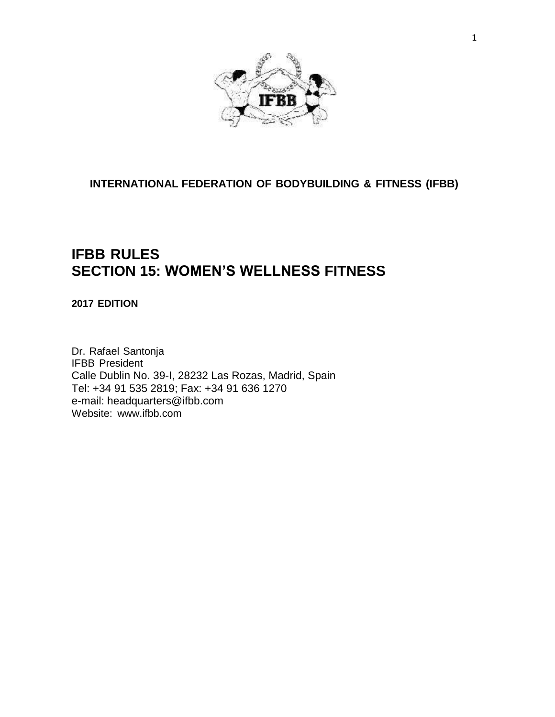

**INTERNATIONAL FEDERATION OF BODYBUILDING & FITNESS (IFBB)**

# **IFBB RULES SECTION 15: WOMEN'S WELLNESS FITNESS**

# **2017 EDITION**

Dr. Rafael Santonja IFBB President Calle Dublin No. 39-I, 28232 Las Rozas, Madrid, Spain Tel: +34 91 535 2819; Fax: +34 91 636 1270 e-mail: headquarters@ifbb.com Website: [www.ifbb.com](http://www.ifbb.com/)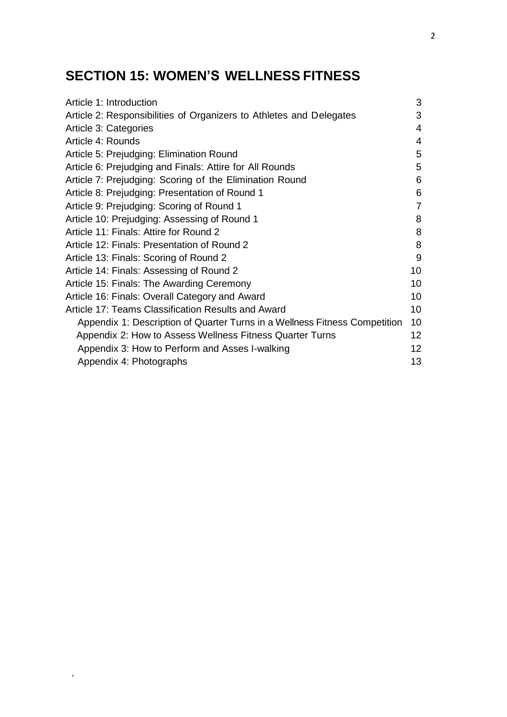# **SECTION 15: WOMEN'S WELLNESS FITNESS**

.

| Article 1: Introduction                                                    | 3               |
|----------------------------------------------------------------------------|-----------------|
| Article 2: Responsibilities of Organizers to Athletes and Delegates        | 3               |
| Article 3: Categories                                                      | 4               |
| Article 4: Rounds                                                          | 4               |
| Article 5: Prejudging: Elimination Round                                   | 5               |
| Article 6: Prejudging and Finals: Attire for All Rounds                    | 5               |
| Article 7: Prejudging: Scoring of the Elimination Round                    | 6               |
| Article 8: Prejudging: Presentation of Round 1                             | 6               |
| Article 9: Prejudging: Scoring of Round 1                                  | $\overline{7}$  |
| Article 10: Prejudging: Assessing of Round 1                               | 8               |
| Article 11: Finals: Attire for Round 2                                     | 8               |
| Article 12: Finals: Presentation of Round 2                                | 8               |
| Article 13: Finals: Scoring of Round 2                                     | 9               |
| Article 14: Finals: Assessing of Round 2                                   | 10              |
| Article 15: Finals: The Awarding Ceremony                                  | 10              |
| Article 16: Finals: Overall Category and Award                             | 10              |
| Article 17: Teams Classification Results and Award                         | 10              |
| Appendix 1: Description of Quarter Turns in a Wellness Fitness Competition | 10              |
| Appendix 2: How to Assess Wellness Fitness Quarter Turns                   | 12 <sup>2</sup> |
| Appendix 3: How to Perform and Asses I-walking                             | 12 <sub>2</sub> |
| Appendix 4: Photographs                                                    | 13              |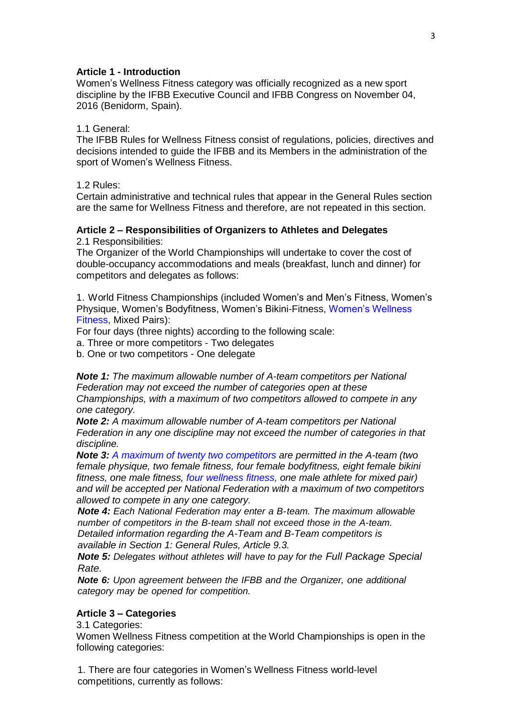#### **Article 1 - Introduction**

Women's Wellness Fitness category was officially recognized as a new sport discipline by the IFBB Executive Council and IFBB Congress on November 04, 2016 (Benidorm, Spain).

#### 1.1 General:

The IFBB Rules for Wellness Fitness consist of regulations, policies, directives and decisions intended to guide the IFBB and its Members in the administration of the sport of Women's Wellness Fitness.

1.2 Rules:

Certain administrative and technical rules that appear in the General Rules section are the same for Wellness Fitness and therefore, are not repeated in this section.

## **Article 2 – Responsibilities of Organizers to Athletes and Delegates**

2.1 Responsibilities:

The Organizer of the World Championships will undertake to cover the cost of double-occupancy accommodations and meals (breakfast, lunch and dinner) for competitors and delegates as follows:

1. World Fitness Championships (included Women's and Men's Fitness, Women's Physique, Women's Bodyfitness, Women's Bikini-Fitness, Women's Wellness Fitness, Mixed Pairs):

For four days (three nights) according to the following scale:

a. Three or more competitors - Two delegates

b. One or two competitors - One delegate

*Note 1: The maximum allowable number of A-team competitors per National Federation may not exceed the number of categories open at these Championships, with a maximum of two competitors allowed to compete in any one category.*

*Note 2: A maximum allowable number of A-team competitors per National Federation in any one discipline may not exceed the number of categories in that discipline.*

*Note 3: A maximum of twenty two competitors are permitted in the A-team (two female physique, two female fitness, four female bodyfitness, eight female bikini fitness, one male fitness, four wellness fitness, one male athlete for mixed pair) and will be accepted per National Federation with a maximum of two competitors allowed to compete in any one category.*

*Note 4: Each National Federation may enter a B-team. The maximum allowable number of competitors in the B-team shall not exceed those in the A-team. Detailed information regarding the A-Team and B-Team competitors is available in Section 1: General Rules, Article 9.3.* 

*Note 5: Delegates without athletes will have to pay for the Full Package Special Rate.*

*Note 6: Upon agreement between the IFBB and the Organizer, one additional category may be opened for competition.*

## **Article 3 – Categories**

3.1 Categories:

Women Wellness Fitness competition at the World Championships is open in the following categories:

1. There are four categories in Women's Wellness Fitness world-level competitions, currently as follows: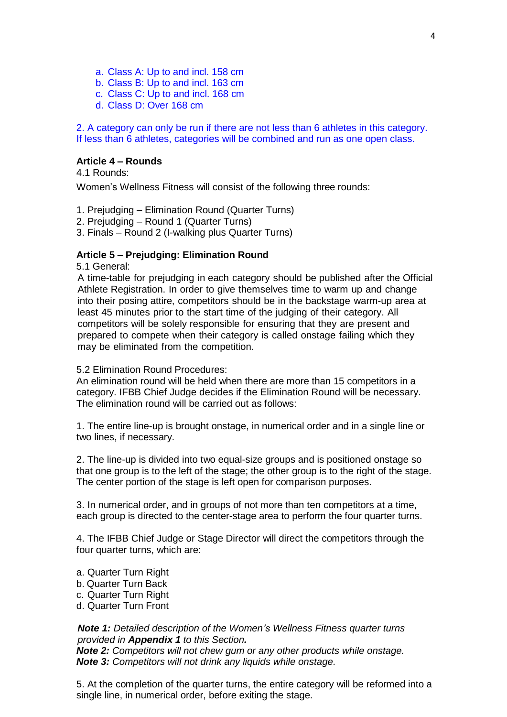- a. Class A: Up to and incl. 158 cm
- b. Class B: Up to and incl. 163 cm
- c. Class C: Up to and incl. 168 cm
- d. Class D: Over 168 cm

2. A category can only be run if there are not less than 6 athletes in this category. If less than 6 athletes, categories will be combined and run as one open class.

#### **Article 4 – Rounds**

4.1 Rounds:

Women's Wellness Fitness will consist of the following three rounds:

1. Prejudging – Elimination Round (Quarter Turns)

2. Prejudging – Round 1 (Quarter Turns)

3. Finals – Round 2 (I-walking plus Quarter Turns)

#### **Article 5 – Prejudging: Elimination Round**

5.1 General:

A time-table for prejudging in each category should be published after the Official Athlete Registration. In order to give themselves time to warm up and change into their posing attire, competitors should be in the backstage warm-up area at least 45 minutes prior to the start time of the judging of their category. All competitors will be solely responsible for ensuring that they are present and prepared to compete when their category is called onstage failing which they may be eliminated from the competition.

5.2 Elimination Round Procedures:

An elimination round will be held when there are more than 15 competitors in a category. IFBB Chief Judge decides if the Elimination Round will be necessary. The elimination round will be carried out as follows:

1. The entire line-up is brought onstage, in numerical order and in a single line or two lines, if necessary.

2. The line-up is divided into two equal-size groups and is positioned onstage so that one group is to the left of the stage; the other group is to the right of the stage. The center portion of the stage is left open for comparison purposes.

3. In numerical order, and in groups of not more than ten competitors at a time, each group is directed to the center-stage area to perform the four quarter turns.

4. The IFBB Chief Judge or Stage Director will direct the competitors through the four quarter turns, which are:

- a. Quarter Turn Right
- b. Quarter Turn Back
- c. Quarter Turn Right
- d. Quarter Turn Front

*Note 1: Detailed description of the Women's Wellness Fitness quarter turns provided in Appendix 1 to this Section. Note 2: Competitors will not chew gum or any other products while onstage. Note 3: Competitors will not drink any liquids while onstage.*

5. At the completion of the quarter turns, the entire category will be reformed into a single line, in numerical order, before exiting the stage.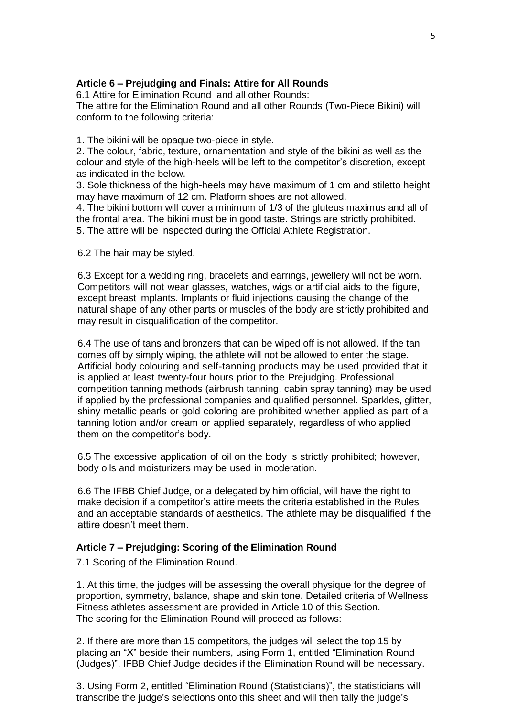## **Article 6 – Prejudging and Finals: Attire for All Rounds**

6.1 Attire for Elimination Round and all other Rounds:

The attire for the Elimination Round and all other Rounds (Two-Piece Bikini) will conform to the following criteria:

1. The bikini will be opaque two-piece in style.

2. The colour, fabric, texture, ornamentation and style of the bikini as well as the colour and style of the high-heels will be left to the competitor's discretion, except as indicated in the below.

3. Sole thickness of the high-heels may have maximum of 1 cm and stiletto height may have maximum of 12 cm. Platform shoes are not allowed.

4. The bikini bottom will cover a minimum of 1/3 of the gluteus maximus and all of the frontal area. The bikini must be in good taste. Strings are strictly prohibited. 5. The attire will be inspected during the Official Athlete Registration.

6.2 The hair may be styled.

6.3 Except for a wedding ring, bracelets and earrings, jewellery will not be worn. Competitors will not wear glasses, watches, wigs or artificial aids to the figure, except breast implants. Implants or fluid injections causing the change of the natural shape of any other parts or muscles of the body are strictly prohibited and may result in disqualification of the competitor.

6.4 The use of tans and bronzers that can be wiped off is not allowed. If the tan comes off by simply wiping, the athlete will not be allowed to enter the stage. Artificial body colouring and self-tanning products may be used provided that it is applied at least twenty-four hours prior to the Prejudging. Professional competition tanning methods (airbrush tanning, cabin spray tanning) may be used if applied by the professional companies and qualified personnel. Sparkles, glitter, shiny metallic pearls or gold coloring are prohibited whether applied as part of a tanning lotion and/or cream or applied separately, regardless of who applied them on the competitor's body.

6.5 The excessive application of oil on the body is strictly prohibited; however, body oils and moisturizers may be used in moderation.

6.6 The IFBB Chief Judge, or a delegated by him official, will have the right to make decision if a competitor's attire meets the criteria established in the Rules and an acceptable standards of aesthetics. The athlete may be disqualified if the attire doesn't meet them.

#### **Article 7 – Prejudging: Scoring of the Elimination Round**

7.1 Scoring of the Elimination Round.

1. At this time, the judges will be assessing the overall physique for the degree of proportion, symmetry, balance, shape and skin tone. Detailed criteria of Wellness Fitness athletes assessment are provided in Article 10 of this Section. The scoring for the Elimination Round will proceed as follows:

2. If there are more than 15 competitors, the judges will select the top 15 by placing an "X" beside their numbers, using Form 1, entitled "Elimination Round (Judges)". IFBB Chief Judge decides if the Elimination Round will be necessary.

3. Using Form 2, entitled "Elimination Round (Statisticians)", the statisticians will transcribe the judge's selections onto this sheet and will then tally the judge's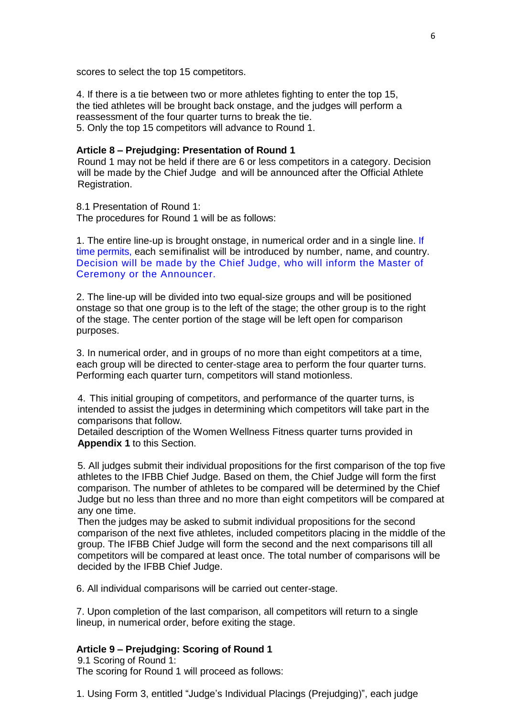scores to select the top 15 competitors.

4. If there is a tie between two or more athletes fighting to enter the top 15, the tied athletes will be brought back onstage, and the judges will perform a reassessment of the four quarter turns to break the tie. 5. Only the top 15 competitors will advance to Round 1.

#### **Article 8 – Prejudging: Presentation of Round 1**

Round 1 may not be held if there are 6 or less competitors in a category. Decision will be made by the Chief Judge and will be announced after the Official Athlete Registration.

8.1 Presentation of Round 1: The procedures for Round 1 will be as follows:

1. The entire line-up is brought onstage, in numerical order and in a single line. If time permits, each semifinalist will be introduced by number, name, and country. Decision will be made by the Chief Judge, who will inform the Master of Ceremony or the Announcer.

2. The line-up will be divided into two equal-size groups and will be positioned onstage so that one group is to the left of the stage; the other group is to the right of the stage. The center portion of the stage will be left open for comparison purposes.

3. In numerical order, and in groups of no more than eight competitors at a time, each group will be directed to center-stage area to perform the four quarter turns. Performing each quarter turn, competitors will stand motionless.

4. This initial grouping of competitors, and performance of the quarter turns, is intended to assist the judges in determining which competitors will take part in the comparisons that follow.

Detailed description of the Women Wellness Fitness quarter turns provided in **Appendix 1** to this Section.

5. All judges submit their individual propositions for the first comparison of the top five athletes to the IFBB Chief Judge. Based on them, the Chief Judge will form the first comparison. The number of athletes to be compared will be determined by the Chief Judge but no less than three and no more than eight competitors will be compared at any one time.

Then the judges may be asked to submit individual propositions for the second comparison of the next five athletes, included competitors placing in the middle of the group. The IFBB Chief Judge will form the second and the next comparisons till all competitors will be compared at least once. The total number of comparisons will be decided by the IFBB Chief Judge.

6. All individual comparisons will be carried out center-stage.

7. Upon completion of the last comparison, all competitors will return to a single lineup, in numerical order, before exiting the stage.

## **Article 9 – Prejudging: Scoring of Round 1**

9.1 Scoring of Round 1: The scoring for Round 1 will proceed as follows:

1. Using Form 3, entitled "Judge's Individual Placings (Prejudging)", each judge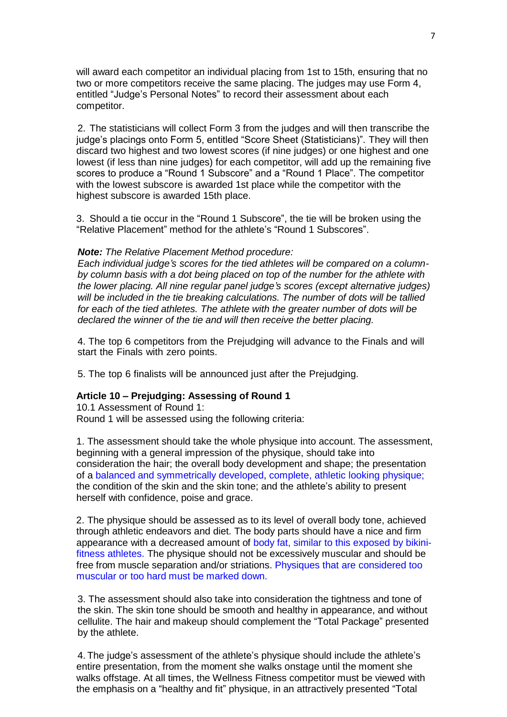will award each competitor an individual placing from 1st to 15th, ensuring that no two or more competitors receive the same placing. The judges may use Form 4, entitled "Judge's Personal Notes" to record their assessment about each competitor.

2. The statisticians will collect Form 3 from the judges and will then transcribe the judge's placings onto Form 5, entitled "Score Sheet (Statisticians)". They will then discard two highest and two lowest scores (if nine judges) or one highest and one lowest (if less than nine judges) for each competitor, will add up the remaining five scores to produce a "Round 1 Subscore" and a "Round 1 Place". The competitor with the lowest subscore is awarded 1st place while the competitor with the highest subscore is awarded 15th place.

3. Should a tie occur in the "Round 1 Subscore", the tie will be broken using the "Relative Placement" method for the athlete's "Round 1 Subscores".

#### *Note: The Relative Placement Method procedure:*

*Each individual judge's scores for the tied athletes will be compared on a columnby column basis with a dot being placed on top of the number for the athlete with the lower placing. All nine regular panel judge's scores (except alternative judges) will be included in the tie breaking calculations. The number of dots will be tallied for each of the tied athletes. The athlete with the greater number of dots will be declared the winner of the tie and will then receive the better placing.*

4. The top 6 competitors from the Prejudging will advance to the Finals and will start the Finals with zero points.

5. The top 6 finalists will be announced just after the Prejudging.

#### **Article 10 – Prejudging: Assessing of Round 1**

10.1 Assessment of Round 1: Round 1 will be assessed using the following criteria:

1. The assessment should take the whole physique into account. The assessment, beginning with a general impression of the physique, should take into consideration the hair; the overall body development and shape; the presentation of a balanced and symmetrically developed, complete, athletic looking physique; the condition of the skin and the skin tone; and the athlete's ability to present herself with confidence, poise and grace.

2. The physique should be assessed as to its level of overall body tone, achieved through athletic endeavors and diet. The body parts should have a nice and firm appearance with a decreased amount of body fat, similar to this exposed by bikinifitness athletes. The physique should not be excessively muscular and should be free from muscle separation and/or striations. Physiques that are considered too muscular or too hard must be marked down.

3. The assessment should also take into consideration the tightness and tone of the skin. The skin tone should be smooth and healthy in appearance, and without cellulite. The hair and makeup should complement the "Total Package" presented by the athlete.

4. The judge's assessment of the athlete's physique should include the athlete's entire presentation, from the moment she walks onstage until the moment she walks offstage. At all times, the Wellness Fitness competitor must be viewed with the emphasis on a "healthy and fit" physique, in an attractively presented "Total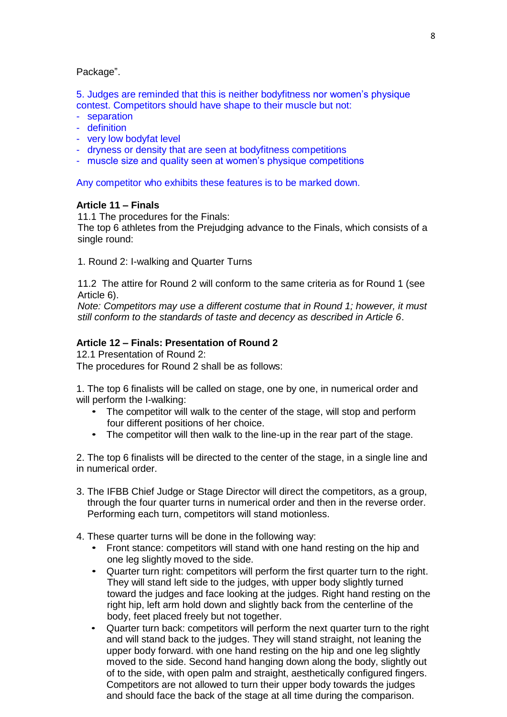#### Package".

5. Judges are reminded that this is neither bodyfitness nor women's physique contest. Competitors should have shape to their muscle but not:

- separation
- definition
- very low bodyfat level
- dryness or density that are seen at bodyfitness competitions
- muscle size and quality seen at women's physique competitions

Any competitor who exhibits these features is to be marked down.

#### **Article 11 – Finals**

11.1 The procedures for the Finals:

The top 6 athletes from the Prejudging advance to the Finals, which consists of a single round:

1. Round 2: I-walking and Quarter Turns

11.2 The attire for Round 2 will conform to the same criteria as for Round 1 (see Article 6).

*Note: Competitors may use a different costume that in Round 1; however, it must still conform to the standards of taste and decency as described in Article 6*.

#### **Article 12 – Finals: Presentation of Round 2**

12.1 Presentation of Round 2:

The procedures for Round 2 shall be as follows:

1. The top 6 finalists will be called on stage, one by one, in numerical order and will perform the I-walking:

- The competitor will walk to the center of the stage, will stop and perform four different positions of her choice.
- The competitor will then walk to the line-up in the rear part of the stage.

2. The top 6 finalists will be directed to the center of the stage, in a single line and in numerical order.

- 3. The IFBB Chief Judge or Stage Director will direct the competitors, as a group, through the four quarter turns in numerical order and then in the reverse order. Performing each turn, competitors will stand motionless.
- 4. These quarter turns will be done in the following way:
	- Front stance: competitors will stand with one hand resting on the hip and one leg slightly moved to the side.
	- Quarter turn right: competitors will perform the first quarter turn to the right. They will stand left side to the judges, with upper body slightly turned toward the judges and face looking at the judges. Right hand resting on the right hip, left arm hold down and slightly back from the centerline of the body, feet placed freely but not together.
	- Quarter turn back: competitors will perform the next quarter turn to the right and will stand back to the judges. They will stand straight, not leaning the upper body forward. with one hand resting on the hip and one leg slightly moved to the side. Second hand hanging down along the body, slightly out of to the side, with open palm and straight, aesthetically configured fingers. Competitors are not allowed to turn their upper body towards the judges and should face the back of the stage at all time during the comparison.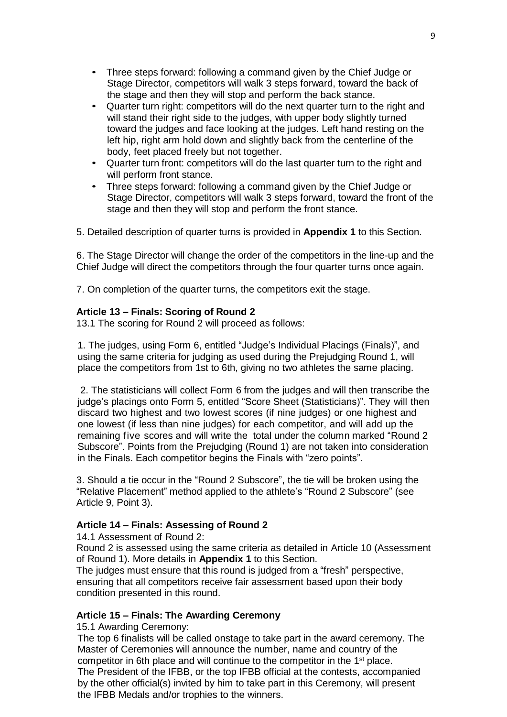- Three steps forward: following a command given by the Chief Judge or Stage Director, competitors will walk 3 steps forward, toward the back of the stage and then they will stop and perform the back stance.
- Quarter turn right: competitors will do the next quarter turn to the right and will stand their right side to the judges, with upper body slightly turned toward the judges and face looking at the judges. Left hand resting on the left hip, right arm hold down and slightly back from the centerline of the body, feet placed freely but not together.
- Quarter turn front: competitors will do the last quarter turn to the right and will perform front stance.
- Three steps forward: following a command given by the Chief Judge or Stage Director, competitors will walk 3 steps forward, toward the front of the stage and then they will stop and perform the front stance.

5. Detailed description of quarter turns is provided in **Appendix 1** to this Section.

6. The Stage Director will change the order of the competitors in the line-up and the Chief Judge will direct the competitors through the four quarter turns once again.

7. On completion of the quarter turns, the competitors exit the stage.

#### **Article 13 – Finals: Scoring of Round 2**

13.1 The scoring for Round 2 will proceed as follows:

1. The judges, using Form 6, entitled "Judge's Individual Placings (Finals)", and using the same criteria for judging as used during the Prejudging Round 1, will place the competitors from 1st to 6th, giving no two athletes the same placing.

2. The statisticians will collect Form 6 from the judges and will then transcribe the judge's placings onto Form 5, entitled "Score Sheet (Statisticians)". They will then discard two highest and two lowest scores (if nine judges) or one highest and one lowest (if less than nine judges) for each competitor, and will add up the remaining five scores and will write the total under the column marked "Round 2 Subscore". Points from the Prejudging (Round 1) are not taken into consideration in the Finals. Each competitor begins the Finals with "zero points".

3. Should a tie occur in the "Round 2 Subscore", the tie will be broken using the "Relative Placement" method applied to the athlete's "Round 2 Subscore" (see Article 9, Point 3).

## **Article 14 – Finals: Assessing of Round 2**

14.1 Assessment of Round 2:

Round 2 is assessed using the same criteria as detailed in Article 10 (Assessment of Round 1). More details in **Appendix 1** to this Section.

The judges must ensure that this round is judged from a "fresh" perspective, ensuring that all competitors receive fair assessment based upon their body condition presented in this round.

## **Article 15 – Finals: The Awarding Ceremony**

15.1 Awarding Ceremony:

The top 6 finalists will be called onstage to take part in the award ceremony. The Master of Ceremonies will announce the number, name and country of the competitor in 6th place and will continue to the competitor in the 1st place. The President of the IFBB, or the top IFBB official at the contests, accompanied by the other official(s) invited by him to take part in this Ceremony, will present the IFBB Medals and/or trophies to the winners.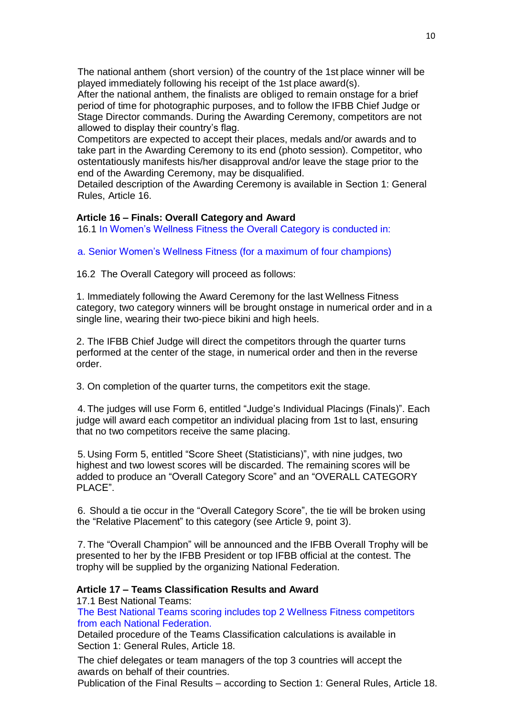The national anthem (short version) of the country of the 1st place winner will be played immediately following his receipt of the 1st place award(s).

After the national anthem, the finalists are obliged to remain onstage for a brief period of time for photographic purposes, and to follow the IFBB Chief Judge or Stage Director commands. During the Awarding Ceremony, competitors are not allowed to display their country's flag.

Competitors are expected to accept their places, medals and/or awards and to take part in the Awarding Ceremony to its end (photo session). Competitor, who ostentatiously manifests his/her disapproval and/or leave the stage prior to the end of the Awarding Ceremony, may be disqualified.

Detailed description of the Awarding Ceremony is available in Section 1: General Rules, Article 16.

#### **Article 16 – Finals: Overall Category and Award**

16.1 In Women's Wellness Fitness the Overall Category is conducted in:

a. Senior Women's Wellness Fitness (for a maximum of four champions)

16.2 The Overall Category will proceed as follows:

1. Immediately following the Award Ceremony for the last Wellness Fitness category, two category winners will be brought onstage in numerical order and in a single line, wearing their two-piece bikini and high heels.

2. The IFBB Chief Judge will direct the competitors through the quarter turns performed at the center of the stage, in numerical order and then in the reverse order.

3. On completion of the quarter turns, the competitors exit the stage.

4. The judges will use Form 6, entitled "Judge's Individual Placings (Finals)". Each judge will award each competitor an individual placing from 1st to last, ensuring that no two competitors receive the same placing.

5. Using Form 5, entitled "Score Sheet (Statisticians)", with nine judges, two highest and two lowest scores will be discarded. The remaining scores will be added to produce an "Overall Category Score" and an "OVERALL CATEGORY PLACE".

6. Should a tie occur in the "Overall Category Score", the tie will be broken using the "Relative Placement" to this category (see Article 9, point 3).

7. The "Overall Champion" will be announced and the IFBB Overall Trophy will be presented to her by the IFBB President or top IFBB official at the contest. The trophy will be supplied by the organizing National Federation.

#### **Article 17 – Teams Classification Results and Award**

17.1 Best National Teams:

The Best National Teams scoring includes top 2 Wellness Fitness competitors from each National Federation.

Detailed procedure of the Teams Classification calculations is available in Section 1: General Rules, Article 18.

The chief delegates or team managers of the top 3 countries will accept the awards on behalf of their countries.

Publication of the Final Results – according to Section 1: General Rules, Article 18.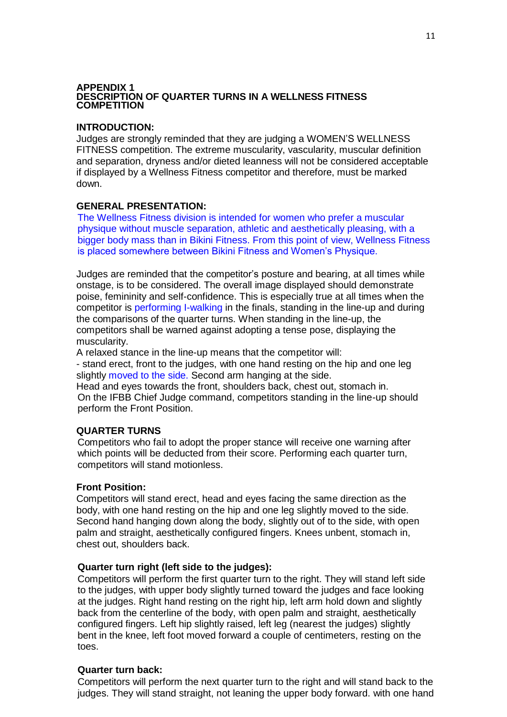#### **APPENDIX 1 DESCRIPTION OF QUARTER TURNS IN A WELLNESS FITNESS COMPETITION**

#### **INTRODUCTION:**

Judges are strongly reminded that they are judging a WOMEN'S WELLNESS FITNESS competition. The extreme muscularity, vascularity, muscular definition and separation, dryness and/or dieted leanness will not be considered acceptable if displayed by a Wellness Fitness competitor and therefore, must be marked down.

#### **GENERAL PRESENTATION:**

The Wellness Fitness division is intended for women who prefer a muscular physique without muscle separation, athletic and aesthetically pleasing, with a bigger body mass than in Bikini Fitness. From this point of view, Wellness Fitness is placed somewhere between Bikini Fitness and Women's Physique.

Judges are reminded that the competitor's posture and bearing, at all times while onstage, is to be considered. The overall image displayed should demonstrate poise, femininity and self-confidence. This is especially true at all times when the competitor is performing I-walking in the finals, standing in the line-up and during the comparisons of the quarter turns. When standing in the line-up, the competitors shall be warned against adopting a tense pose, displaying the muscularity.

A relaxed stance in the line-up means that the competitor will:

- stand erect, front to the judges, with one hand resting on the hip and one leg slightly moved to the side. Second arm hanging at the side.

Head and eyes towards the front, shoulders back, chest out, stomach in. On the IFBB Chief Judge command, competitors standing in the line-up should perform the Front Position.

## **QUARTER TURNS**

Competitors who fail to adopt the proper stance will receive one warning after which points will be deducted from their score. Performing each quarter turn, competitors will stand motionless.

#### **Front Position:**

Competitors will stand erect, head and eyes facing the same direction as the body, with one hand resting on the hip and one leg slightly moved to the side. Second hand hanging down along the body, slightly out of to the side, with open palm and straight, aesthetically configured fingers. Knees unbent, stomach in, chest out, shoulders back.

#### **Quarter turn right (left side to the judges):**

Competitors will perform the first quarter turn to the right. They will stand left side to the judges, with upper body slightly turned toward the judges and face looking at the judges. Right hand resting on the right hip, left arm hold down and slightly back from the centerline of the body, with open palm and straight, aesthetically configured fingers. Left hip slightly raised, left leg (nearest the judges) slightly bent in the knee, left foot moved forward a couple of centimeters, resting on the toes.

## **Quarter turn back:**

Competitors will perform the next quarter turn to the right and will stand back to the judges. They will stand straight, not leaning the upper body forward. with one hand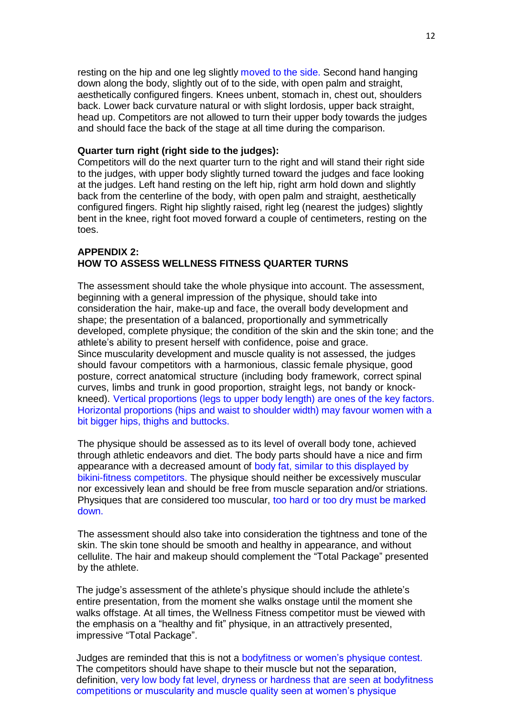resting on the hip and one leg slightly moved to the side. Second hand hanging down along the body, slightly out of to the side, with open palm and straight, aesthetically configured fingers. Knees unbent, stomach in, chest out, shoulders back. Lower back curvature natural or with slight lordosis, upper back straight, head up. Competitors are not allowed to turn their upper body towards the judges and should face the back of the stage at all time during the comparison.

#### **Quarter turn right (right side to the judges):**

Competitors will do the next quarter turn to the right and will stand their right side to the judges, with upper body slightly turned toward the judges and face looking at the judges. Left hand resting on the left hip, right arm hold down and slightly back from the centerline of the body, with open palm and straight, aesthetically configured fingers. Right hip slightly raised, right leg (nearest the judges) slightly bent in the knee, right foot moved forward a couple of centimeters, resting on the toes.

#### **APPENDIX 2: HOW TO ASSESS WELLNESS FITNESS QUARTER TURNS**

The assessment should take the whole physique into account. The assessment, beginning with a general impression of the physique, should take into consideration the hair, make-up and face, the overall body development and shape; the presentation of a balanced, proportionally and symmetrically developed, complete physique; the condition of the skin and the skin tone; and the athlete's ability to present herself with confidence, poise and grace. Since muscularity development and muscle quality is not assessed, the judges should favour competitors with a harmonious, classic female physique, good posture, correct anatomical structure (including body framework, correct spinal curves, limbs and trunk in good proportion, straight legs, not bandy or knockkneed). Vertical proportions (legs to upper body length) are ones of the key factors. Horizontal proportions (hips and waist to shoulder width) may favour women with a bit bigger hips, thighs and buttocks.

The physique should be assessed as to its level of overall body tone, achieved through athletic endeavors and diet. The body parts should have a nice and firm appearance with a decreased amount of body fat, similar to this displayed by bikini-fitness competitors. The physique should neither be excessively muscular nor excessively lean and should be free from muscle separation and/or striations. Physiques that are considered too muscular, too hard or too dry must be marked down.

The assessment should also take into consideration the tightness and tone of the skin. The skin tone should be smooth and healthy in appearance, and without cellulite. The hair and makeup should complement the "Total Package" presented by the athlete.

The judge's assessment of the athlete's physique should include the athlete's entire presentation, from the moment she walks onstage until the moment she walks offstage. At all times, the Wellness Fitness competitor must be viewed with the emphasis on a "healthy and fit" physique, in an attractively presented, impressive "Total Package".

Judges are reminded that this is not a bodyfitness or women's physique contest. The competitors should have shape to their muscle but not the separation, definition, very low body fat level, dryness or hardness that are seen at bodyfitness competitions or muscularity and muscle quality seen at women's physique